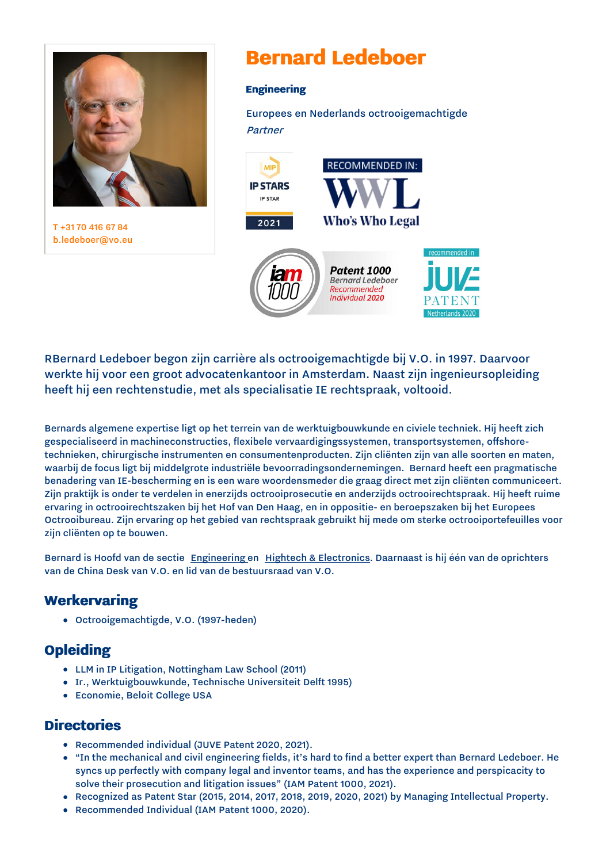

T [+31](tel:+31%2070%20416%2067%2084) 70 416 67 84 [b.ledeboer@vo.eu](mailto:b.ledeboer@vo.eu)

# **Bernard Ledeboer**

#### **Engineering**

Europees en Nederlands octrooigemachtigde Partner



RBernard Ledeboer begon zijn carrière als octrooigemachtigde bij V.O. in 1997. Daarvoor werkte hij voor een groot advocatenkantoor in Amsterdam. Naast zijn ingenieursopleiding heeft hij een rechtenstudie, met als specialisatie IE rechtspraak, voltooid.

Bernards algemene expertise ligt op het terrein van de werktuigbouwkunde en civiele techniek. Hij heeft zich gespecialiseerd in machineconstructies, flexibele vervaardigingssystemen, transportsystemen, offshoretechnieken, chirurgische instrumenten en consumentenproducten. Zijn cliënten zijn van alle soorten en maten, waarbij de focus ligt bij middelgrote industriële bevoorradingsondernemingen. Bernard heeft een pragmatische benadering van IE-bescherming en is een ware woordensmeder die graag direct met zijn cliënten communiceert. Zijn praktijk is onder te verdelen in enerzijds octrooiprosecutie en anderzijds octrooirechtspraak. Hij heeft ruime ervaring in octrooirechtszaken bij het Hof van Den Haag, en in oppositie- en beroepszaken bij het Europees Octrooibureau. Zijn ervaring op het gebied van rechtspraak gebruikt hij mede om sterke octrooiportefeuilles voor zijn cliënten op te bouwen.

Bernard is Hoofd van de sectie [Engineering](https://www.vo.eu/nl/home/sectoren/engineering/) en Hightech & [Electronics.](https://www.vo.eu/nl/home/sectoren/hightech-electronics/) Daarnaast is hij één van de oprichters van de China Desk van V.O. en lid van de bestuursraad van V.O.

### **Werkervaring**

Octrooigemachtigde, V.O. (1997-heden)

## **Opleiding**

- LLM in IP Litigation, Nottingham Law School (2011)
- Ir., Werktuigbouwkunde, Technische Universiteit Delft 1995)
- Economie, Beloit College USA

#### **Directories**

- Recommended individual (JUVE Patent 2020, 2021).
- "In the mechanical and civil engineering fields, it's hard to find a better expert than Bernard Ledeboer. He syncs up perfectly with company legal and inventor teams, and has the experience and perspicacity to solve their prosecution and litigation issues" (IAM Patent 1000, 2021).
- Recognized as Patent Star (2015, 2014, 2017, 2018, 2019, 2020, 2021) by Managing Intellectual Property.
- Recommended Individual (IAM Patent 1000, 2020). $\bullet$